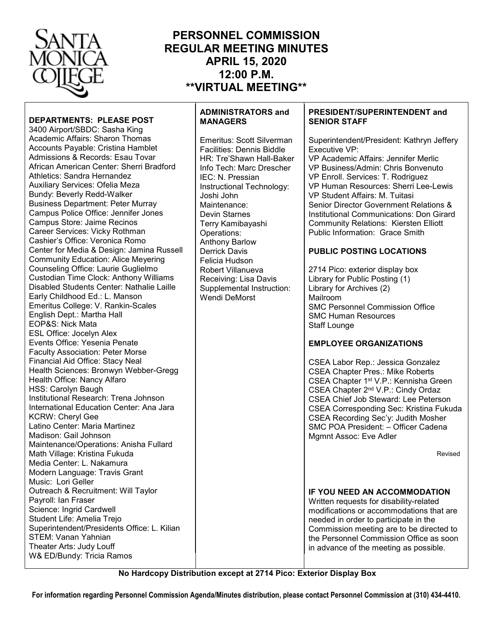

# **PERSONNEL COMMISSION REGULAR MEETING MINUTES APRIL 15, 2020 12:00 P.M. \*\*VIRTUAL MEETING\*\***

### **DEPARTMENTS: PLEASE POST** 3400 Airport/SBDC: Sasha King Academic Affairs: Sharon Thomas Accounts Payable: Cristina Hamblet Admissions & Records: Esau Tovar African American Center: Sherri Bradford Athletics: Sandra Hernandez Auxiliary Services: Ofelia Meza Bundy: Beverly Redd-Walker Business Department: Peter Murray Campus Police Office: Jennifer Jones Campus Store: Jaime Recinos Career Services: Vicky Rothman Cashier's Office: Veronica Romo Center for Media & Design: Jamina Russell Community Education: Alice Meyering Counseling Office: Laurie Guglielmo Custodian Time Clock: Anthony Williams Disabled Students Center: Nathalie Laille Early Childhood Ed.: L. Manson Emeritus College: V. Rankin-Scales English Dept.: Martha Hall EOP&S: Nick Mata ESL Office: Jocelyn Alex Events Office: Yesenia Penate Faculty Association: Peter Morse Financial Aid Office: Stacy Neal Health Sciences: Bronwyn Webber-Gregg Health Office: Nancy Alfaro HSS: Carolyn Baugh Institutional Research: Trena Johnson International Education Center: Ana Jara KCRW: Cheryl Gee Latino Center: Maria Martinez Madison: Gail Johnson Maintenance/Operations: Anisha Fullard Math Village: Kristina Fukuda Media Center: L. Nakamura Modern Language: Travis Grant Music: Lori Geller Outreach & Recruitment: Will Taylor Payroll: Ian Fraser Science: Ingrid Cardwell Student Life: Amelia Trejo Superintendent/Presidents Office: L. Kilian STEM: Vanan Yahnian Theater Arts: Judy Louff W& ED/Bundy: Tricia Ramos

# **ADMINISTRATORS and MANAGERS**

Emeritus: Scott Silverman Facilities: Dennis Biddle HR: Tre'Shawn Hall-Baker Info Tech: Marc Drescher IEC: N. Pressian Instructional Technology: Joshi John Maintenance: Devin Starnes Terry Kamibayashi Operations: Anthony Barlow Derrick Davis Felicia Hudson Robert Villanueva Receiving: Lisa Davis Supplemental Instruction: Wendi DeMorst

### **PRESIDENT/SUPERINTENDENT and SENIOR STAFF**

Superintendent/President: Kathryn Jeffery Executive VP: VP Academic Affairs: Jennifer Merlic VP Business/Admin: Chris Bonvenuto VP Enroll. Services: T. Rodriguez VP Human Resources: Sherri Lee-Lewis VP Student Affairs: M. Tuitasi Senior Director Government Relations & Institutional Communications: Don Girard Community Relations: Kiersten Elliott Public Information: Grace Smith **PUBLIC POSTING LOCATIONS** 2714 Pico: exterior display box Library for Public Posting (1) Library for Archives (2) Mailroom SMC Personnel Commission Office SMC Human Resources Staff Lounge **EMPLOYEE ORGANIZATIONS** CSEA Labor Rep.: Jessica Gonzalez CSEA Chapter Pres.: Mike Roberts CSEA Chapter 1st V.P.: Kennisha Green CSEA Chapter 2nd V.P.: Cindy Ordaz CSEA Chief Job Steward: Lee Peterson CSEA Corresponding Sec: Kristina Fukuda CSEA Recording Sec'y: Judith Mosher SMC POA President: – Officer Cadena Mgmnt Assoc: Eve Adler **IF YOU NEED AN ACCOMMODATION** Revised

Written requests for disability-related modifications or accommodations that are needed in order to participate in the Commission meeting are to be directed to the Personnel Commission Office as soon in advance of the meeting as possible.

**No Hardcopy Distribution except at 2714 Pico: Exterior Display Box**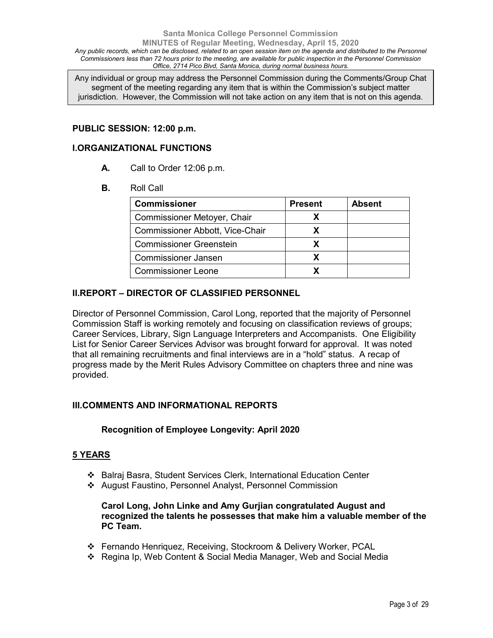### **Santa Monica College Personnel Commission MINUTES of Regular Meeting, Wednesday, April 15, 2020** *Any public records, which can be disclosed, related to an open session item on the agenda and distributed to the Personnel Commissioners less than 72 hours prior to the meeting, are available for public inspection in the Personnel Commission Office, 2714 Pico Blvd, Santa Monica, during normal business hours.*

Any individual or group may address the Personnel Commission during the Comments/Group Chat segment of the meeting regarding any item that is within the Commission's subject matter jurisdiction. However, the Commission will not take action on any item that is not on this agenda.

### **PUBLIC SESSION: 12:00 p.m.**

### **I.ORGANIZATIONAL FUNCTIONS**

- **A.** Call to Order 12:06 p.m.
- **B.** Roll Call

| <b>Commissioner</b>             | <b>Present</b> | <b>Absent</b> |
|---------------------------------|----------------|---------------|
| Commissioner Metoyer, Chair     |                |               |
| Commissioner Abbott, Vice-Chair |                |               |
| <b>Commissioner Greenstein</b>  |                |               |
| <b>Commissioner Jansen</b>      |                |               |
| <b>Commissioner Leone</b>       |                |               |

# **II.REPORT – DIRECTOR OF CLASSIFIED PERSONNEL**

Director of Personnel Commission, Carol Long, reported that the majority of Personnel Commission Staff is working remotely and focusing on classification reviews of groups; Career Services, Library, Sign Language Interpreters and Accompanists. One Eligibility List for Senior Career Services Advisor was brought forward for approval. It was noted that all remaining recruitments and final interviews are in a "hold" status. A recap of progress made by the Merit Rules Advisory Committee on chapters three and nine was provided.

## **III.COMMENTS AND INFORMATIONAL REPORTS**

## **Recognition of Employee Longevity: April 2020**

### **5 YEARS**

- Balraj Basra, Student Services Clerk, International Education Center
- August Faustino, Personnel Analyst, Personnel Commission

## **Carol Long, John Linke and Amy Gurjian congratulated August and recognized the talents he possesses that make him a valuable member of the PC Team.**

- Fernando Henriquez, Receiving, Stockroom & Delivery Worker, PCAL
- Regina Ip, Web Content & Social Media Manager, Web and Social Media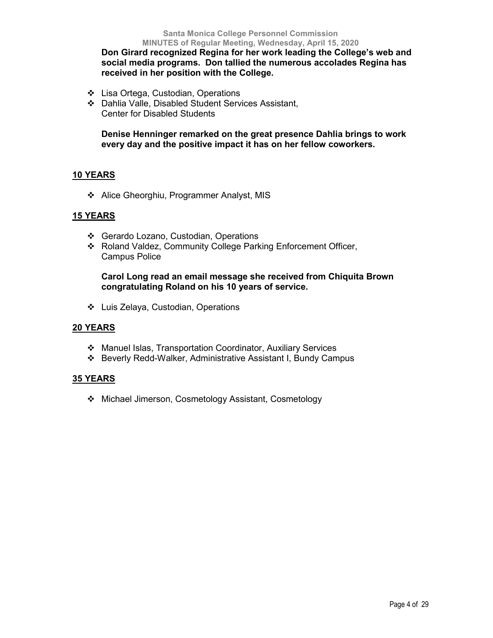**Don Girard recognized Regina for her work leading the College's web and social media programs. Don tallied the numerous accolades Regina has received in her position with the College.**

- ❖ Lisa Ortega, Custodian, Operations
- Dahlia Valle, Disabled Student Services Assistant, Center for Disabled Students

**Denise Henninger remarked on the great presence Dahlia brings to work every day and the positive impact it has on her fellow coworkers.**

# **10 YEARS**

Alice Gheorghiu, Programmer Analyst, MIS

# **15 YEARS**

- Gerardo Lozano, Custodian, Operations
- Roland Valdez, Community College Parking Enforcement Officer, Campus Police

# **Carol Long read an email message she received from Chiquita Brown congratulating Roland on his 10 years of service.**

Luis Zelaya, Custodian, Operations

## **20 YEARS**

- Manuel Islas, Transportation Coordinator, Auxiliary Services
- Beverly Redd-Walker, Administrative Assistant I, Bundy Campus

## **35 YEARS**

Michael Jimerson, Cosmetology Assistant, Cosmetology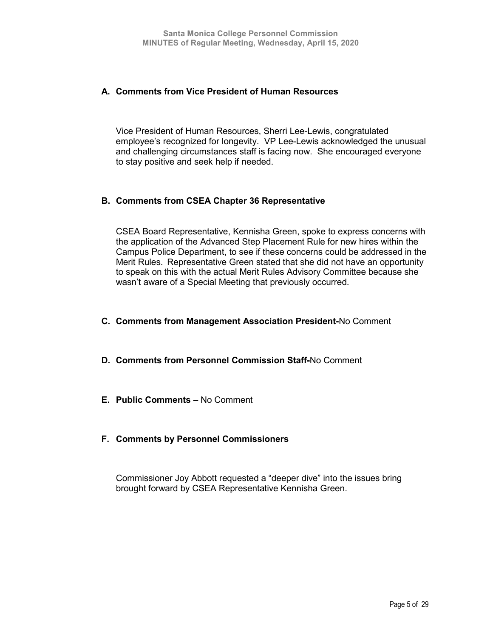# **A. Comments from Vice President of Human Resources**

Vice President of Human Resources, Sherri Lee-Lewis, congratulated employee's recognized for longevity. VP Lee-Lewis acknowledged the unusual and challenging circumstances staff is facing now. She encouraged everyone to stay positive and seek help if needed.

# **B. Comments from CSEA Chapter 36 Representative**

CSEA Board Representative, Kennisha Green, spoke to express concerns with the application of the Advanced Step Placement Rule for new hires within the Campus Police Department, to see if these concerns could be addressed in the Merit Rules. Representative Green stated that she did not have an opportunity to speak on this with the actual Merit Rules Advisory Committee because she wasn't aware of a Special Meeting that previously occurred.

- **C. Comments from Management Association President-**No Comment
- **D. Comments from Personnel Commission Staff-**No Comment
- **E. Public Comments –** No Comment
- **F. Comments by Personnel Commissioners**

Commissioner Joy Abbott requested a "deeper dive" into the issues bring brought forward by CSEA Representative Kennisha Green.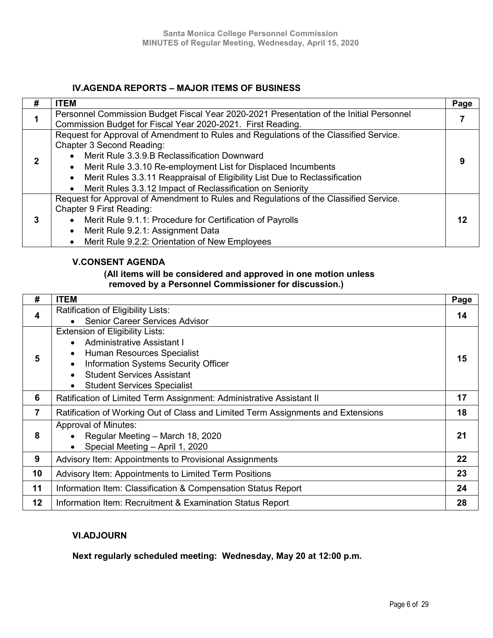# **IV.AGENDA REPORTS – MAJOR ITEMS OF BUSINESS**

| # | <b>ITEM</b>                                                                             | Page |
|---|-----------------------------------------------------------------------------------------|------|
|   | Personnel Commission Budget Fiscal Year 2020-2021 Presentation of the Initial Personnel |      |
|   | Commission Budget for Fiscal Year 2020-2021. First Reading.                             |      |
|   | Request for Approval of Amendment to Rules and Regulations of the Classified Service.   |      |
|   | Chapter 3 Second Reading:                                                               |      |
|   | Merit Rule 3.3.9.B Reclassification Downward                                            |      |
| 2 | Merit Rule 3.3.10 Re-employment List for Displaced Incumbents<br>$\bullet$              |      |
|   | Merit Rules 3.3.11 Reappraisal of Eligibility List Due to Reclassification<br>$\bullet$ |      |
|   | Merit Rules 3.3.12 Impact of Reclassification on Seniority<br>$\bullet$                 |      |
|   | Request for Approval of Amendment to Rules and Regulations of the Classified Service.   |      |
|   | Chapter 9 First Reading:                                                                |      |
| 3 | Merit Rule 9.1.1: Procedure for Certification of Payrolls                               | 12   |
|   | Merit Rule 9.2.1: Assignment Data<br>$\bullet$                                          |      |
|   | Merit Rule 9.2.2: Orientation of New Employees<br>$\bullet$                             |      |

# **V.CONSENT AGENDA**

# **(All items will be considered and approved in one motion unless removed by a Personnel Commissioner for discussion.)**

| #                | <b>ITEM</b>                                                                      | Page |
|------------------|----------------------------------------------------------------------------------|------|
| $\boldsymbol{4}$ | Ratification of Eligibility Lists:                                               | 14   |
|                  | <b>Senior Career Services Advisor</b>                                            |      |
|                  | <b>Extension of Eligibility Lists:</b>                                           |      |
|                  | Administrative Assistant I<br>$\bullet$                                          |      |
| 5                | Human Resources Specialist<br>$\bullet$                                          | 15   |
|                  | Information Systems Security Officer<br>$\bullet$                                |      |
|                  | <b>Student Services Assistant</b><br>$\bullet$                                   |      |
|                  | <b>Student Services Specialist</b><br>$\bullet$                                  |      |
| 6                | Ratification of Limited Term Assignment: Administrative Assistant II             | 17   |
| 7                | Ratification of Working Out of Class and Limited Term Assignments and Extensions | 18   |
|                  | <b>Approval of Minutes:</b>                                                      |      |
| 8                | Regular Meeting - March 18, 2020                                                 | 21   |
|                  | Special Meeting - April 1, 2020<br>$\bullet$                                     |      |
| 9                | Advisory Item: Appointments to Provisional Assignments                           | 22   |
| 10               | Advisory Item: Appointments to Limited Term Positions                            | 23   |
| 11               | Information Item: Classification & Compensation Status Report                    | 24   |
| 12               | Information Item: Recruitment & Examination Status Report                        | 28   |

# **VI.ADJOURN**

**Next regularly scheduled meeting: Wednesday, May 20 at 12:00 p.m.**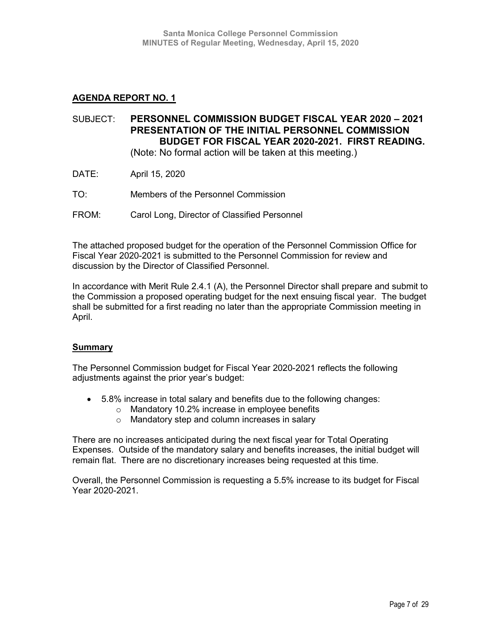# SUBJECT: **PERSONNEL COMMISSION BUDGET FISCAL YEAR 2020 – 2021 PRESENTATION OF THE INITIAL PERSONNEL COMMISSION BUDGET FOR FISCAL YEAR 2020-2021. FIRST READING.**  (Note: No formal action will be taken at this meeting.)

- DATE: April 15, 2020
- TO: Members of the Personnel Commission
- FROM: Carol Long, Director of Classified Personnel

The attached proposed budget for the operation of the Personnel Commission Office for Fiscal Year 2020-2021 is submitted to the Personnel Commission for review and discussion by the Director of Classified Personnel.

In accordance with Merit Rule 2.4.1 (A), the Personnel Director shall prepare and submit to the Commission a proposed operating budget for the next ensuing fiscal year. The budget shall be submitted for a first reading no later than the appropriate Commission meeting in April.

## **Summary**

The Personnel Commission budget for Fiscal Year 2020-2021 reflects the following adjustments against the prior year's budget:

- 5.8% increase in total salary and benefits due to the following changes:
	- o Mandatory 10.2% increase in employee benefits
	- o Mandatory step and column increases in salary

There are no increases anticipated during the next fiscal year for Total Operating Expenses. Outside of the mandatory salary and benefits increases, the initial budget will remain flat. There are no discretionary increases being requested at this time.

Overall, the Personnel Commission is requesting a 5.5% increase to its budget for Fiscal Year 2020-2021.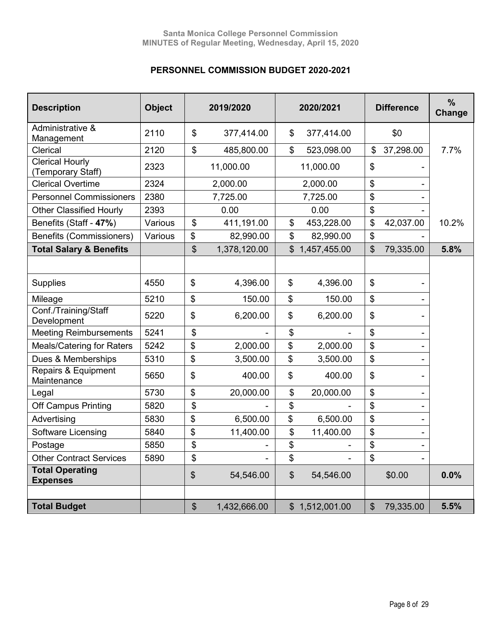# **PERSONNEL COMMISSION BUDGET 2020-2021**

| <b>Description</b>                          | <b>Object</b> |               | 2019/2020    | 2020/2021        |                           | <b>Difference</b> | $\frac{9}{6}$<br>Change |
|---------------------------------------------|---------------|---------------|--------------|------------------|---------------------------|-------------------|-------------------------|
| Administrative &<br>Management              | 2110          | \$            | 377,414.00   | \$<br>377,414.00 |                           | \$0               |                         |
| Clerical                                    | 2120          | \$            | 485,800.00   | \$<br>523,098.00 | \$                        | 37,298.00         | 7.7%                    |
| <b>Clerical Hourly</b><br>(Temporary Staff) | 2323          |               | 11,000.00    | 11,000.00        | \$                        |                   |                         |
| <b>Clerical Overtime</b>                    | 2324          |               | 2,000.00     | 2,000.00         | $\boldsymbol{\mathsf{S}}$ |                   |                         |
| <b>Personnel Commissioners</b>              | 2380          |               | 7,725.00     | 7,725.00         | \$                        |                   |                         |
| <b>Other Classified Hourly</b>              | 2393          |               | 0.00         | 0.00             | $\boldsymbol{\mathsf{S}}$ |                   |                         |
| Benefits (Staff - 47%)                      | Various       | \$            | 411,191.00   | \$<br>453,228.00 | \$                        | 42,037.00         | 10.2%                   |
| <b>Benefits (Commissioners)</b>             | Various       | \$            | 82,990.00    | \$<br>82,990.00  | \$                        |                   |                         |
| <b>Total Salary &amp; Benefits</b>          |               | \$            | 1,378,120.00 | \$1,457,455.00   | \$                        | 79,335.00         | 5.8%                    |
|                                             |               |               |              |                  |                           |                   |                         |
| <b>Supplies</b>                             | 4550          | \$            | 4,396.00     | \$<br>4,396.00   | $\boldsymbol{\mathsf{S}}$ |                   |                         |
| Mileage                                     | 5210          | \$            | 150.00       | \$<br>150.00     | \$                        |                   |                         |
| Conf./Training/Staff<br>Development         | 5220          | \$            | 6,200.00     | \$<br>6,200.00   | \$                        |                   |                         |
| <b>Meeting Reimbursements</b>               | 5241          | \$            |              | \$               | $\boldsymbol{\hat{\phi}}$ |                   |                         |
| <b>Meals/Catering for Raters</b>            | 5242          | \$            | 2,000.00     | \$<br>2,000.00   | \$                        |                   |                         |
| Dues & Memberships                          | 5310          | \$            | 3,500.00     | \$<br>3,500.00   | \$                        |                   |                         |
| Repairs & Equipment<br>Maintenance          | 5650          | \$            | 400.00       | \$<br>400.00     | \$                        |                   |                         |
| Legal                                       | 5730          | \$            | 20,000.00    | \$<br>20,000.00  | \$                        |                   |                         |
| <b>Off Campus Printing</b>                  | 5820          | \$            |              | \$               | \$                        |                   |                         |
| Advertising                                 | 5830          | \$            | 6,500.00     | \$<br>6,500.00   | \$                        |                   |                         |
| Software Licensing                          | 5840          | \$            | 11,400.00    | \$<br>11,400.00  | \$                        |                   |                         |
| Postage                                     | 5850          | \$            |              | \$               | \$                        |                   |                         |
| <b>Other Contract Services</b>              | 5890          | \$            |              | \$               | \$                        |                   |                         |
| <b>Total Operating</b><br><b>Expenses</b>   |               | $\frac{1}{2}$ | 54,546.00    | \$<br>54,546.00  |                           | \$0.00            | 0.0%                    |
|                                             |               |               |              |                  |                           |                   |                         |
| <b>Total Budget</b>                         |               | $\frac{1}{2}$ | 1,432,666.00 | \$1,512,001.00   | $\mathfrak{S}$            | 79,335.00         | 5.5%                    |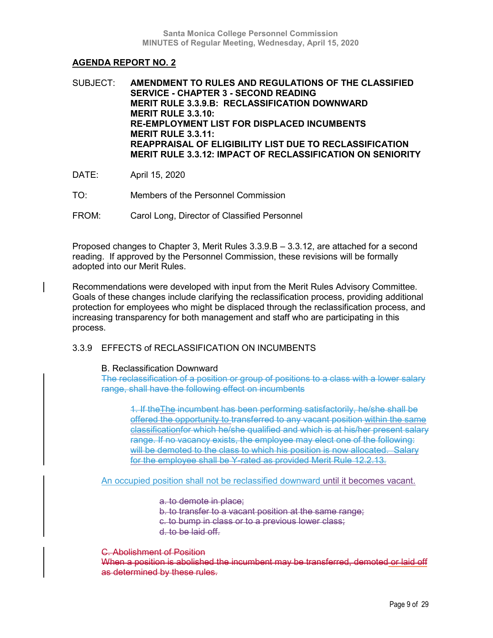SUBJECT: **AMENDMENT TO RULES AND REGULATIONS OF THE CLASSIFIED SERVICE - CHAPTER 3 - SECOND READING MERIT RULE 3.3.9.B: RECLASSIFICATION DOWNWARD MERIT RULE 3.3.10: RE-EMPLOYMENT LIST FOR DISPLACED INCUMBENTS MERIT RULE 3.3.11: REAPPRAISAL OF ELIGIBILITY LIST DUE TO RECLASSIFICATION MERIT RULE 3.3.12: IMPACT OF RECLASSIFICATION ON SENIORITY**

- DATE: April 15, 2020
- TO: Members of the Personnel Commission
- FROM: Carol Long, Director of Classified Personnel

Proposed changes to Chapter 3, Merit Rules 3.3.9.B – 3.3.12, are attached for a second reading. If approved by the Personnel Commission, these revisions will be formally adopted into our Merit Rules.

Recommendations were developed with input from the Merit Rules Advisory Committee. Goals of these changes include clarifying the reclassification process, providing additional protection for employees who might be displaced through the reclassification process, and increasing transparency for both management and staff who are participating in this process.

## 3.3.9 EFFECTS of RECLASSIFICATION ON INCUMBENTS

## B. Reclassification Downward

The reclassification of a position or group of positions to a class with a lower salary range, shall have the following effect on incumbents

1. If theThe incumbent has been performing satisfactorily, he/she shall be offered the opportunity to transferred to any vacant position within the same classificationfor which he/she qualified and which is at his/her present salary range. If no vacancy exists, the employee may elect one of the following: will be demoted to the class to which his position is now allocated. Salary for the employee shall be Y-rated as provided Merit Rule 12.2.13.

An occupied position shall not be reclassified downward until it becomes vacant.

a. to demote in place;

b. to transfer to a vacant position at the same range;

c. to bump in class or to a previous lower class;

d. to be laid off.

# C. Abolishment of Position

When a position is abolished the incumbent may be transferred, demoted or laid off as determined by these rules.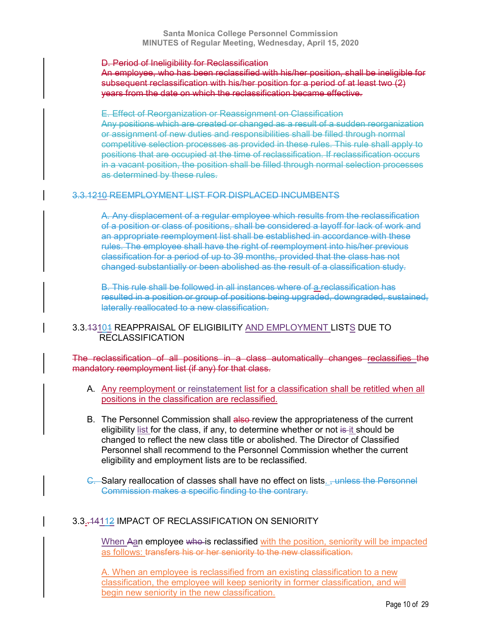### D. Period of Ineligibility for Reclassification

An employee, who has been reclassified with his/her position, shall be ineligible for subsequent reclassification with his/her position for a period of at least two (2) years from the date on which the reclassification became effective.

E. Effect of Reorganization or Reassignment on Classification Any positions which are created or changed as a result of a sudden reorganization or assignment of new duties and responsibilities shall be filled through normal competitive selection processes as provided in these rules. This rule shall apply to positions that are occupied at the time of reclassification. If reclassification occurs in a vacant position, the position shall be filled through normal selection processes as determined by these rules.

## 3.3.1210 REEMPLOYMENT LIST FOR DISPLACED INCUMBENTS

A. Any displacement of a regular employee which results from the reclassification of a position or class of positions, shall be considered a layoff for lack of work and an appropriate reemployment list shall be established in accordance with these rules. The employee shall have the right of reemployment into his/her previous classification for a period of up to 39 months, provided that the class has not changed substantially or been abolished as the result of a classification study.

B. This rule shall be followed in all instances where of a reclassification has resulted in a position or group of positions being upgraded, downgraded, sustained, laterally reallocated to a new classification.

# 3.3.43104 REAPPRAISAL OF ELIGIBILITY AND EMPLOYMENT LISTS DUE TO RECLASSIFICATION

The reclassification of all positions in a class automatically changes reclassifies the mandatory reemployment list (if any) for that class.

- A. Any reemployment or reinstatement list for a classification shall be retitled when all positions in the classification are reclassified.
- B. The Personnel Commission shall also-review the appropriateness of the current eligibility list for the class, if any, to determine whether or not is it should be changed to reflect the new class title or abolished. The Director of Classified Personnel shall recommend to the Personnel Commission whether the current eligibility and employment lists are to be reclassified.
- C. Salary reallocation of classes shall have no effect on lists. <del>, unless the Personnel</del> Commission makes a specific finding to the contrary.

## 3.3..14112 IMPACT OF RECLASSIFICATION ON SENIORITY

When Aan employee who is reclassified with the position, seniority will be impacted as follows: transfers his or her seniority to the new classification.

A. When an employee is reclassified from an existing classification to a new classification, the employee will keep seniority in former classification, and will begin new seniority in the new classification.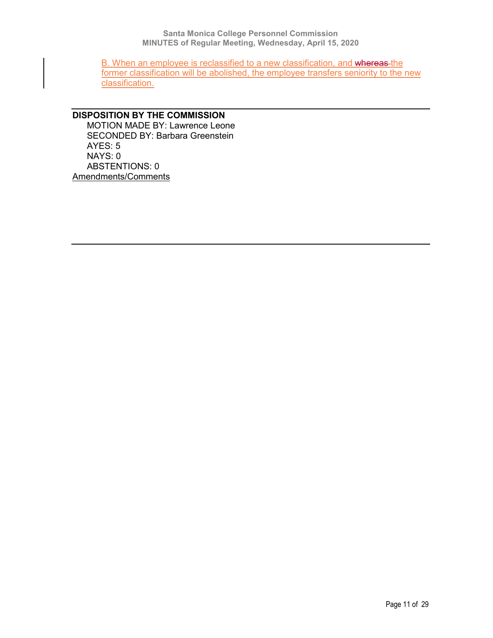B. When an employee is reclassified to a new classification, and whereas the former classification will be abolished, the employee transfers seniority to the new classification.

# **DISPOSITION BY THE COMMISSION** MOTION MADE BY: Lawrence Leone SECONDED BY: Barbara Greenstein AYES: 5 NAYS: 0 ABSTENTIONS: 0 Amendments/Comments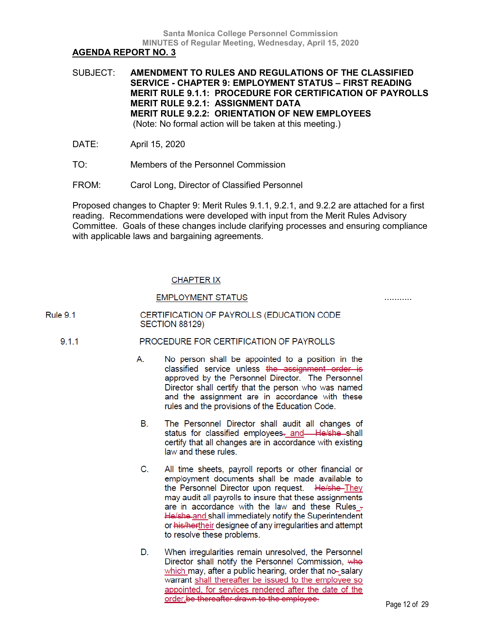SUBJECT: **AMENDMENT TO RULES AND REGULATIONS OF THE CLASSIFIED SERVICE - CHAPTER 9: EMPLOYMENT STATUS – FIRST READING MERIT RULE 9.1.1: PROCEDURE FOR CERTIFICATION OF PAYROLLS MERIT RULE 9.2.1: ASSIGNMENT DATA MERIT RULE 9.2.2: ORIENTATION OF NEW EMPLOYEES** (Note: No formal action will be taken at this meeting.)

DATE: April 15, 2020

- TO: Members of the Personnel Commission
- FROM: Carol Long, Director of Classified Personnel

Proposed changes to Chapter 9: Merit Rules 9.1.1, 9.2.1, and 9.2.2 are attached for a first reading. Recommendations were developed with input from the Merit Rules Advisory Committee. Goals of these changes include clarifying processes and ensuring compliance with applicable laws and bargaining agreements.

# **CHAPTER IX**

# **EMPLOYMENT STATUS**

...........

#### CERTIFICATION OF PAYROLLS (EDUCATION CODE **Rule 9.1 SECTION 88129)**

#### $9.1.1$ PROCEDURE FOR CERTIFICATION OF PAYROLLS

- А. No person shall be appointed to a position in the classified service unless the assignment order is approved by the Personnel Director. The Personnel Director shall certify that the person who was named and the assignment are in accordance with these rules and the provisions of the Education Code.
- The Personnel Director shall audit all changes of В. status for classified employees- and-He/she-shall certify that all changes are in accordance with existing law and these rules.
- All time sheets, payroll reports or other financial or C. employment documents shall be made available to the Personnel Director upon request. He/she-They may audit all payrolls to insure that these assignments are in accordance with the law and these Rules -He/she-and shall immediately notify the Superintendent or his/hertheir designee of any irregularities and attempt to resolve these problems.
- D. When irregularities remain unresolved, the Personnel Director shall notify the Personnel Commission, who which may, after a public hearing, order that no-salary warrant shall thereafter be issued to the employee so appointed, for services rendered after the date of the order be thereafter drawn to the employee.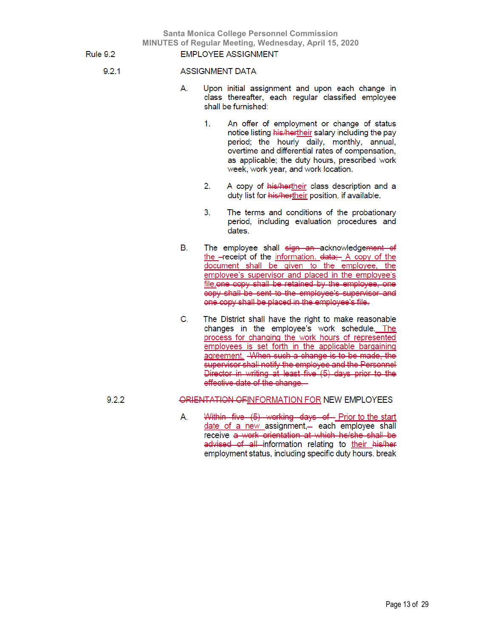**EMPLOYEE ASSIGNMENT** 

**Rule 9.2** 

 $9.2.1$ 

### **ASSIGNMENT DATA**

- А. Upon initial assignment and upon each change in class thereafter, each regular classified employee shall be furnished:
	- $1<sup>1</sup>$ An offer of employment or change of status notice listing his/hertheir salary including the pay period; the hourly daily, monthly, annual, overtime and differential rates of compensation, as applicable; the duty hours, prescribed work week, work year, and work location.
	- A copy of his/hertheir class description and a 2. duty list for his/hertheir position, if available.
	- The terms and conditions of the probationary 3. period, including evaluation procedures and dates.
- В. The employee shall sign an acknowledgement of the -receipt of the information. data: A copy of the document shall be given to the employee, the employee's supervisor and placed in the employee's file.one copy shall be retained by the employee, one copy shall be sent to the employee's supervisor and one copy shall be placed in the employee's file.
- C. The District shall have the right to make reasonable changes in the employee's work schedule. The process for changing the work hours of represented employees is set forth in the applicable bargaining agreement. When such a change is to be made, the supervisor shall notify the employee and the Personnel Director in writing at least five (5) days prior to the effective date of the change.

# ORIENTATION OF INFORMATION FOR NEW EMPLOYEES

Within five (5) working days of Prior to the start А. date of a new assignment,- each employee shall receive a work orientation at which he/she shall be advised of all information relating to their his/her employment status, including specific duty hours, break

 $9.2.2$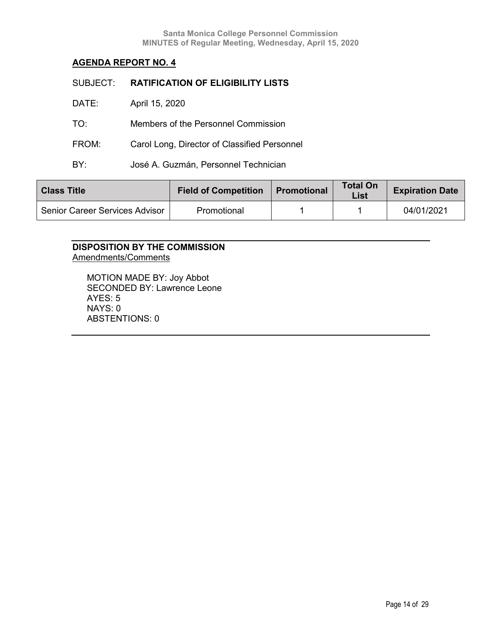| SUBJECT: | <b>RATIFICATION OF ELIGIBILITY LISTS</b>     |
|----------|----------------------------------------------|
| DATE:    | April 15, 2020                               |
| TO:      | Members of the Personnel Commission          |
| FROM:    | Carol Long, Director of Classified Personnel |
| BY:      | José A. Guzmán, Personnel Technician         |
|          |                                              |

| <b>Class Title</b>             | <b>Field of Competition</b> | <b>Promotional</b> | <b>Total On</b><br>List | <b>Expiration Date</b> |
|--------------------------------|-----------------------------|--------------------|-------------------------|------------------------|
| Senior Career Services Advisor | Promotional                 |                    |                         | 04/01/2021             |

# **DISPOSITION BY THE COMMISSION** Amendments/Comments

MOTION MADE BY: Joy Abbot SECONDED BY: Lawrence Leone AYES: 5 NAYS: 0 ABSTENTIONS: 0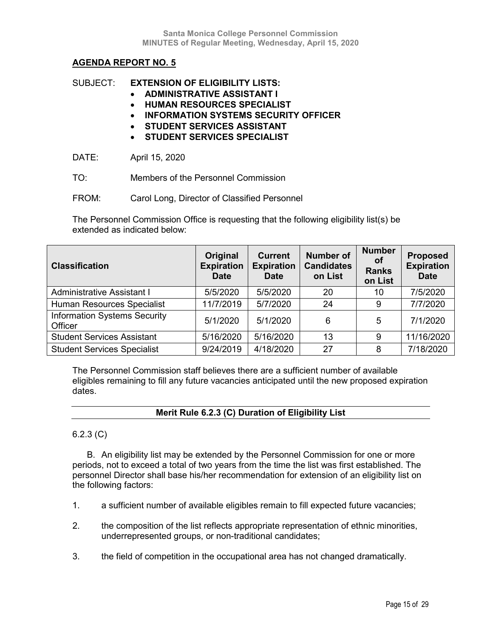# SUBJECT: **EXTENSION OF ELIGIBILITY LISTS:**

- **ADMINISTRATIVE ASSISTANT I**
- **HUMAN RESOURCES SPECIALIST**
- **INFORMATION SYSTEMS SECURITY OFFICER**
- **STUDENT SERVICES ASSISTANT**
- **STUDENT SERVICES SPECIALIST**

DATE: April 15, 2020

- TO: Members of the Personnel Commission
- FROM: Carol Long, Director of Classified Personnel

The Personnel Commission Office is requesting that the following eligibility list(s) be extended as indicated below:

| <b>Classification</b>                          | Original<br><b>Expiration</b><br><b>Date</b> | <b>Current</b><br><b>Expiration</b><br><b>Date</b> | <b>Number of</b><br><b>Candidates</b><br>on List | <b>Number</b><br>Οt<br><b>Ranks</b><br>on List | <b>Proposed</b><br><b>Expiration</b><br><b>Date</b> |
|------------------------------------------------|----------------------------------------------|----------------------------------------------------|--------------------------------------------------|------------------------------------------------|-----------------------------------------------------|
| Administrative Assistant I                     | 5/5/2020                                     | 5/5/2020                                           | 20                                               | 10                                             | 7/5/2020                                            |
| Human Resources Specialist                     | 11/7/2019                                    | 5/7/2020                                           | 24                                               | 9                                              | 7/7/2020                                            |
| <b>Information Systems Security</b><br>Officer | 5/1/2020                                     | 5/1/2020                                           | 6                                                | 5                                              | 7/1/2020                                            |
| <b>Student Services Assistant</b>              | 5/16/2020                                    | 5/16/2020                                          | 13                                               | 9                                              | 11/16/2020                                          |
| <b>Student Services Specialist</b>             | 9/24/2019                                    | 4/18/2020                                          | 27                                               | 8                                              | 7/18/2020                                           |

The Personnel Commission staff believes there are a sufficient number of available eligibles remaining to fill any future vacancies anticipated until the new proposed expiration dates.

# **Merit Rule 6.2.3 (C) Duration of Eligibility List**

# 6.2.3 (C)

B. An eligibility list may be extended by the Personnel Commission for one or more periods, not to exceed a total of two years from the time the list was first established. The personnel Director shall base his/her recommendation for extension of an eligibility list on the following factors:

- 1. a sufficient number of available eligibles remain to fill expected future vacancies;
- 2. the composition of the list reflects appropriate representation of ethnic minorities, underrepresented groups, or non-traditional candidates;
- 3. the field of competition in the occupational area has not changed dramatically.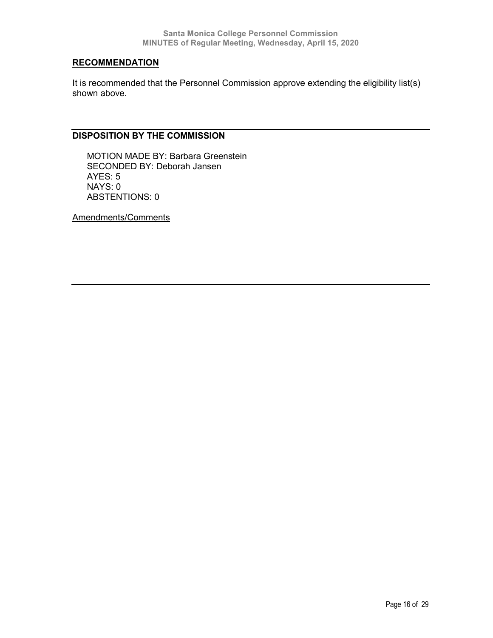# **RECOMMENDATION**

It is recommended that the Personnel Commission approve extending the eligibility list(s) shown above.

# **DISPOSITION BY THE COMMISSION**

MOTION MADE BY: Barbara Greenstein SECONDED BY: Deborah Jansen AYES: 5 NAYS: 0 ABSTENTIONS: 0

Amendments/Comments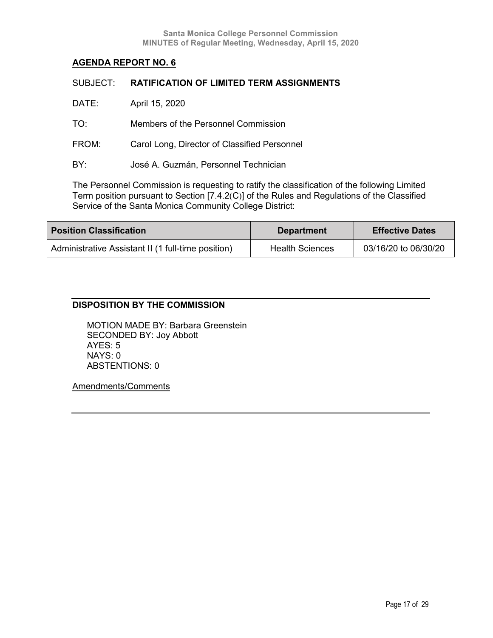| SUBJECT: | <b>RATIFICATION OF LIMITED TERM ASSIGNMENTS</b> |
|----------|-------------------------------------------------|
| DATE:    | April 15, 2020                                  |
| TO:      | Members of the Personnel Commission             |
| FROM:    | Carol Long, Director of Classified Personnel    |
| BY:      | José A. Guzmán, Personnel Technician            |
|          |                                                 |

The Personnel Commission is requesting to ratify the classification of the following Limited Term position pursuant to Section [7.4.2(C)] of the Rules and Regulations of the Classified Service of the Santa Monica Community College District:

| <b>Position Classification</b>                     | <b>Department</b>      | <b>Effective Dates</b> |
|----------------------------------------------------|------------------------|------------------------|
| Administrative Assistant II (1 full-time position) | <b>Health Sciences</b> | 03/16/20 to 06/30/20   |

# **DISPOSITION BY THE COMMISSION**

MOTION MADE BY: Barbara Greenstein SECONDED BY: Joy Abbott AYES: 5 NAYS: 0 ABSTENTIONS: 0

Amendments/Comments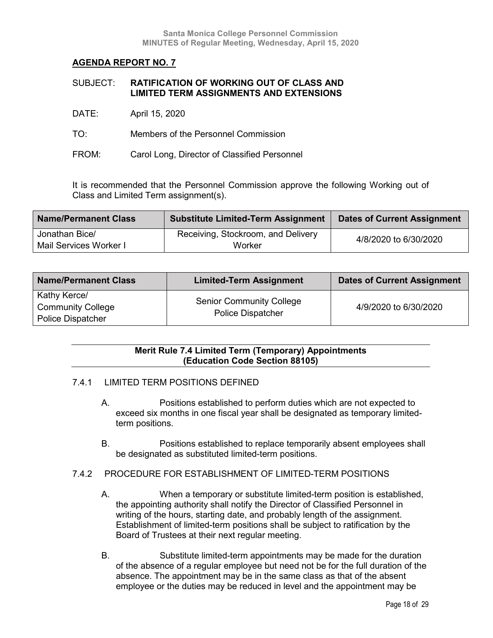| SUBJECT: | <b>RATIFICATION OF WORKING OUT OF CLASS AND</b> |
|----------|-------------------------------------------------|
|          | <b>LIMITED TERM ASSIGNMENTS AND EXTENSIONS</b>  |

- DATE: April 15, 2020
- TO: Members of the Personnel Commission
- FROM: Carol Long, Director of Classified Personnel

It is recommended that the Personnel Commission approve the following Working out of Class and Limited Term assignment(s).

| <b>Name/Permanent Class</b>              | <b>Substitute Limited-Term Assignment</b> | <b>Dates of Current Assignment</b> |
|------------------------------------------|-------------------------------------------|------------------------------------|
| Jonathan Bice/<br>Mail Services Worker I | Receiving, Stockroom, and Delivery        | 4/8/2020 to 6/30/2020              |
|                                          | Worker                                    |                                    |

| <b>Name/Permanent Class</b>                                          | <b>Limited-Term Assignment</b>                              | <b>Dates of Current Assignment</b> |
|----------------------------------------------------------------------|-------------------------------------------------------------|------------------------------------|
| Kathy Kerce/<br><b>Community College</b><br><b>Police Dispatcher</b> | <b>Senior Community College</b><br><b>Police Dispatcher</b> | 4/9/2020 to 6/30/2020              |

# **Merit Rule 7.4 Limited Term (Temporary) Appointments (Education Code Section 88105)**

# 7.4.1 LIMITED TERM POSITIONS DEFINED

- A. Positions established to perform duties which are not expected to exceed six months in one fiscal year shall be designated as temporary limitedterm positions.
- B. Positions established to replace temporarily absent employees shall be designated as substituted limited-term positions.
- 7.4.2 PROCEDURE FOR ESTABLISHMENT OF LIMITED-TERM POSITIONS
	- A. When a temporary or substitute limited-term position is established, the appointing authority shall notify the Director of Classified Personnel in writing of the hours, starting date, and probably length of the assignment. Establishment of limited-term positions shall be subject to ratification by the Board of Trustees at their next regular meeting.
	- B. Substitute limited-term appointments may be made for the duration of the absence of a regular employee but need not be for the full duration of the absence. The appointment may be in the same class as that of the absent employee or the duties may be reduced in level and the appointment may be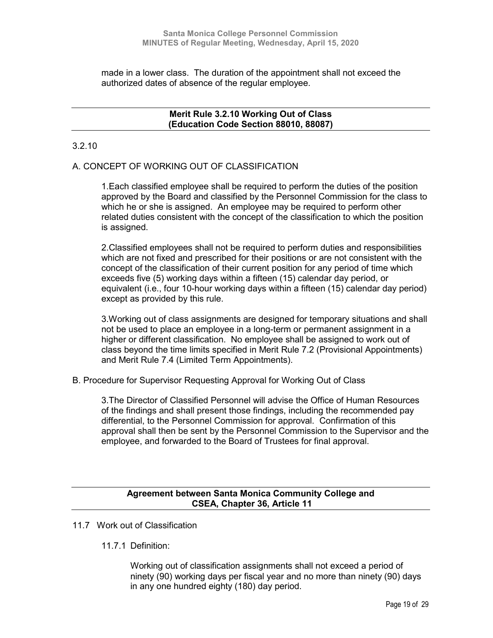made in a lower class. The duration of the appointment shall not exceed the authorized dates of absence of the regular employee.

## **Merit Rule 3.2.10 Working Out of Class (Education Code Section 88010, 88087)**

# 3.2.10

# A. CONCEPT OF WORKING OUT OF CLASSIFICATION

1.Each classified employee shall be required to perform the duties of the position approved by the Board and classified by the Personnel Commission for the class to which he or she is assigned. An employee may be required to perform other related duties consistent with the concept of the classification to which the position is assigned.

2.Classified employees shall not be required to perform duties and responsibilities which are not fixed and prescribed for their positions or are not consistent with the concept of the classification of their current position for any period of time which exceeds five (5) working days within a fifteen (15) calendar day period, or equivalent (i.e., four 10-hour working days within a fifteen (15) calendar day period) except as provided by this rule.

3.Working out of class assignments are designed for temporary situations and shall not be used to place an employee in a long-term or permanent assignment in a higher or different classification. No employee shall be assigned to work out of class beyond the time limits specified in Merit Rule 7.2 (Provisional Appointments) and Merit Rule 7.4 (Limited Term Appointments).

B. Procedure for Supervisor Requesting Approval for Working Out of Class

3.The Director of Classified Personnel will advise the Office of Human Resources of the findings and shall present those findings, including the recommended pay differential, to the Personnel Commission for approval. Confirmation of this approval shall then be sent by the Personnel Commission to the Supervisor and the employee, and forwarded to the Board of Trustees for final approval.

# **Agreement between Santa Monica Community College and CSEA, Chapter 36, Article 11**

- 11.7 Work out of Classification
	- 11.7.1 Definition:

Working out of classification assignments shall not exceed a period of ninety (90) working days per fiscal year and no more than ninety (90) days in any one hundred eighty (180) day period.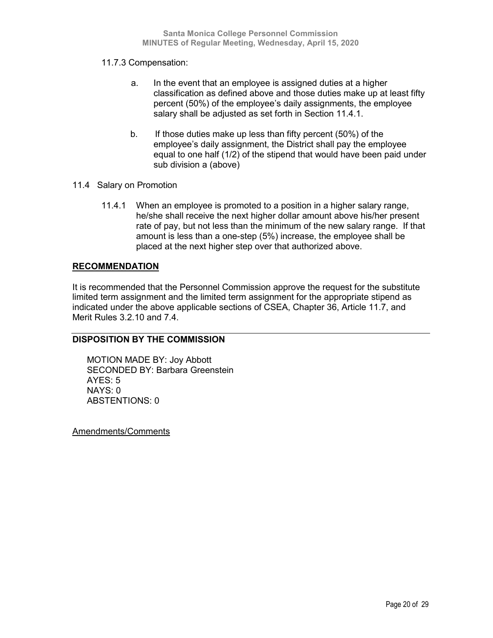# 11.7.3 Compensation:

- a. In the event that an employee is assigned duties at a higher classification as defined above and those duties make up at least fifty percent (50%) of the employee's daily assignments, the employee salary shall be adjusted as set forth in Section 11.4.1.
- b. If those duties make up less than fifty percent (50%) of the employee's daily assignment, the District shall pay the employee equal to one half (1/2) of the stipend that would have been paid under sub division a (above)
- 11.4 Salary on Promotion
	- 11.4.1 When an employee is promoted to a position in a higher salary range, he/she shall receive the next higher dollar amount above his/her present rate of pay, but not less than the minimum of the new salary range. If that amount is less than a one-step (5%) increase, the employee shall be placed at the next higher step over that authorized above.

# **RECOMMENDATION**

It is recommended that the Personnel Commission approve the request for the substitute limited term assignment and the limited term assignment for the appropriate stipend as indicated under the above applicable sections of CSEA, Chapter 36, Article 11.7, and Merit Rules 3.2.10 and 7.4.

# **DISPOSITION BY THE COMMISSION**

MOTION MADE BY: Joy Abbott SECONDED BY: Barbara Greenstein AYES: 5 NAYS: 0 ABSTENTIONS: 0

Amendments/Comments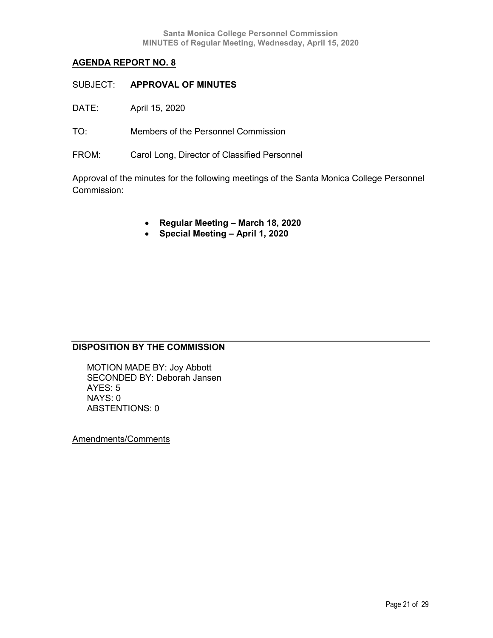- SUBJECT: **APPROVAL OF MINUTES**
- DATE: April 15, 2020
- TO: Members of the Personnel Commission
- FROM: Carol Long, Director of Classified Personnel

Approval of the minutes for the following meetings of the Santa Monica College Personnel Commission:

- **Regular Meeting – March 18, 2020**
- **Special Meeting – April 1, 2020**

# **DISPOSITION BY THE COMMISSION**

MOTION MADE BY: Joy Abbott SECONDED BY: Deborah Jansen AYES: 5 NAYS: 0 ABSTENTIONS: 0

Amendments/Comments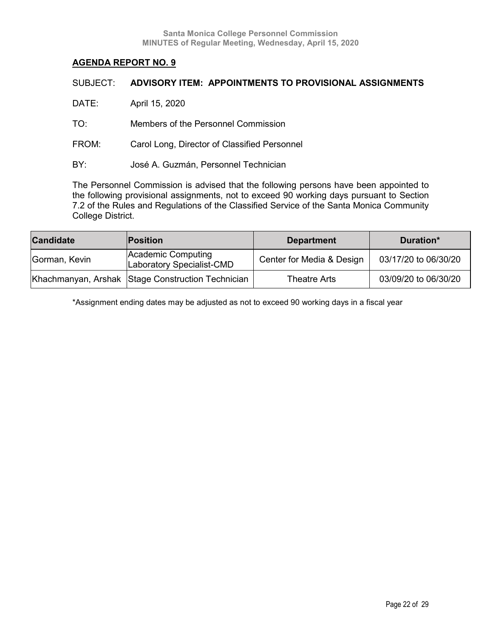| SUBJECT: | ADVISORY ITEM: APPOINTMENTS TO PROVISIONAL ASSIGNMENTS |
|----------|--------------------------------------------------------|
| DATE:    | April 15, 2020                                         |
| TO:      | Members of the Personnel Commission                    |
| FROM:    | Carol Long, Director of Classified Personnel           |
| BY:      | José A. Guzmán, Personnel Technician                   |
|          |                                                        |

The Personnel Commission is advised that the following persons have been appointed to the following provisional assignments, not to exceed 90 working days pursuant to Section 7.2 of the Rules and Regulations of the Classified Service of the Santa Monica Community College District.

| <b>Candidate</b> | <b>Position</b>                                   | <b>Department</b>         | Duration*            |
|------------------|---------------------------------------------------|---------------------------|----------------------|
| Gorman, Kevin    | Academic Computing<br>Laboratory Specialist-CMD   | Center for Media & Design | 03/17/20 to 06/30/20 |
|                  | Khachmanyan, Arshak Stage Construction Technician | Theatre Arts              | 03/09/20 to 06/30/20 |

\*Assignment ending dates may be adjusted as not to exceed 90 working days in a fiscal year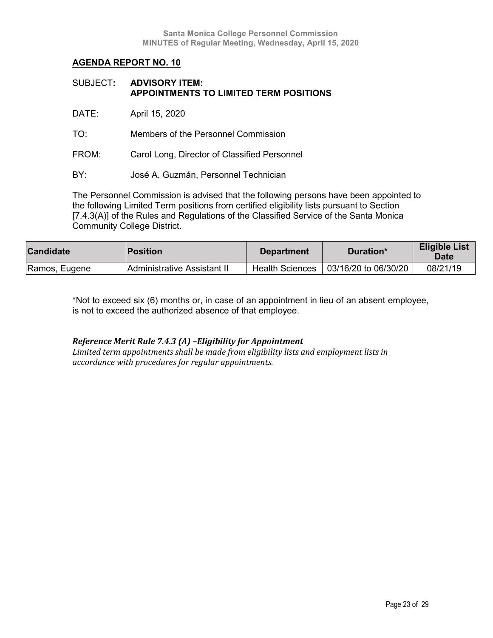| SUBJECT: ADVISORY ITEM:                |
|----------------------------------------|
| APPOINTMENTS TO LIMITED TERM POSITIONS |

DATE: April 15, 2020

TO: Members of the Personnel Commission

FROM: Carol Long, Director of Classified Personnel

BY: José A. Guzmán, Personnel Technician

The Personnel Commission is advised that the following persons have been appointed to the following Limited Term positions from certified eligibility lists pursuant to Section [7.4.3(A)] of the Rules and Regulations of the Classified Service of the Santa Monica Community College District.

| <b>Candidate</b> | <b>Position</b>             | <b>Department</b>      | Duration*            | <b>Eligible List</b><br><b>Date</b> |
|------------------|-----------------------------|------------------------|----------------------|-------------------------------------|
| Ramos, Eugene    | Administrative Assistant II | <b>Health Sciences</b> | 03/16/20 to 06/30/20 | 08/21/19                            |

\*Not to exceed six (6) months or, in case of an appointment in lieu of an absent employee, is not to exceed the authorized absence of that employee.

## *Reference Merit Rule 7.4.3 (A) –Eligibility for Appointment*

*Limited term appointments shall be made from eligibility lists and employment lists in accordance with procedures for regular appointments.*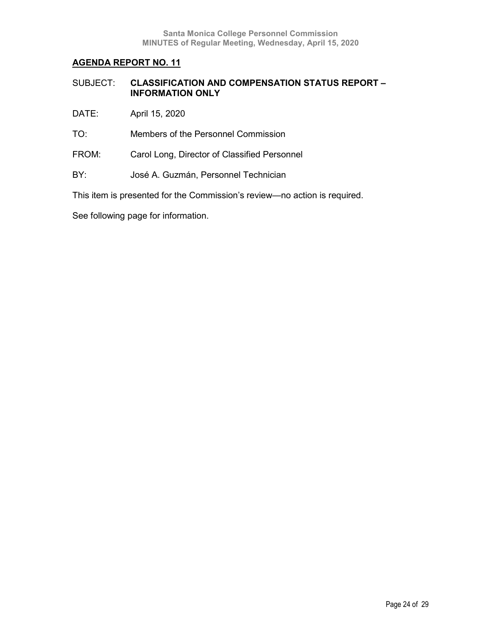| SUBJECT: | <b>CLASSIFICATION AND COMPENSATION STATUS REPORT -</b> |
|----------|--------------------------------------------------------|
|          | <b>INFORMATION ONLY</b>                                |

- DATE: April 15, 2020
- TO: Members of the Personnel Commission
- FROM: Carol Long, Director of Classified Personnel
- BY: José A. Guzmán, Personnel Technician

This item is presented for the Commission's review—no action is required.

See following page for information.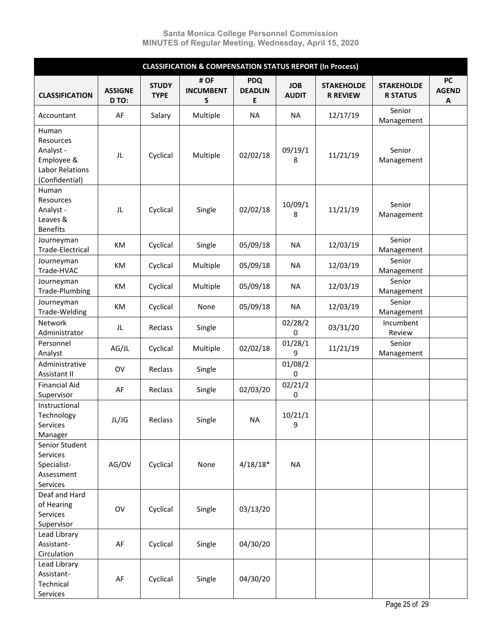|                                                                                           | <b>CLASSIFICATION &amp; COMPENSATION STATUS REPORT (In Process)</b> |                             |                               |                                                   |                            |                                      |                                      |                                |  |  |  |
|-------------------------------------------------------------------------------------------|---------------------------------------------------------------------|-----------------------------|-------------------------------|---------------------------------------------------|----------------------------|--------------------------------------|--------------------------------------|--------------------------------|--|--|--|
| <b>CLASSIFICATION</b>                                                                     | <b>ASSIGNE</b><br>D TO:                                             | <b>STUDY</b><br><b>TYPE</b> | # OF<br><b>INCUMBENT</b><br>S | <b>PDQ</b><br><b>DEADLIN</b><br>Е                 | <b>JOB</b><br><b>AUDIT</b> | <b>STAKEHOLDE</b><br><b>R REVIEW</b> | <b>STAKEHOLDE</b><br><b>R STATUS</b> | <b>PC</b><br><b>AGEND</b><br>A |  |  |  |
| Accountant                                                                                | AF                                                                  | Salary                      | Multiple                      | <b>NA</b>                                         | <b>NA</b>                  | 12/17/19                             | Senior<br>Management                 |                                |  |  |  |
| Human<br>Resources<br>Analyst -<br>Employee &<br><b>Labor Relations</b><br>(Confidential) | JL                                                                  | Cyclical                    | Multiple                      | 02/02/18                                          | 09/19/1<br>8               | 11/21/19                             | Senior<br>Management                 |                                |  |  |  |
| Human<br>Resources<br>Analyst -<br>Leaves &<br><b>Benefits</b>                            | JL                                                                  | Cyclical                    | Single                        | 10/09/1<br>02/02/18<br>11/21/19<br>8<br><b>NA</b> |                            | Senior<br>Management                 |                                      |                                |  |  |  |
| Journeyman<br>Trade-Electrical                                                            | KM                                                                  | Cyclical                    | Single                        | 05/09/18                                          |                            | 12/03/19                             | Senior<br>Management                 |                                |  |  |  |
| Journeyman<br>Trade-HVAC                                                                  | KM                                                                  | Cyclical                    | Multiple                      | 05/09/18                                          | <b>NA</b>                  | 12/03/19                             | Senior<br>Management                 |                                |  |  |  |
| Journeyman<br>Trade-Plumbing                                                              | KM                                                                  | Cyclical                    | Multiple                      | 05/09/18                                          | <b>NA</b>                  | 12/03/19                             | Senior<br>Management                 |                                |  |  |  |
| Journeyman<br>Trade-Welding                                                               | KM                                                                  | Cyclical                    | None                          | 05/09/18                                          | <b>NA</b>                  | 12/03/19                             | Senior<br>Management                 |                                |  |  |  |
| Network<br>Administrator                                                                  | JL                                                                  | Reclass<br>Single           |                               |                                                   | 02/28/2<br>0               | 03/31/20                             | Incumbent<br>Review                  |                                |  |  |  |
| Personnel<br>Analyst                                                                      | AG/JL                                                               | Cyclical                    | Multiple                      | 02/02/18                                          | 01/28/1<br>9               | 11/21/19                             | Senior<br>Management                 |                                |  |  |  |
| Administrative<br>Assistant II                                                            | OV                                                                  | Reclass                     | Single                        |                                                   | 01/08/2<br>0               |                                      |                                      |                                |  |  |  |
| <b>Financial Aid</b><br>Supervisor                                                        | AF                                                                  | Reclass                     | Single                        | 02/03/20                                          | 02/21/2<br>0               |                                      |                                      |                                |  |  |  |
| Instructional<br>Technology<br>Services<br>Manager                                        | JL/JG                                                               | Reclass                     | Single                        | <b>NA</b>                                         | 10/21/1<br>9               |                                      |                                      |                                |  |  |  |
| Senior Student<br>Services<br>Specialist-<br>Assessment<br>Services                       | AG/OV                                                               | Cyclical                    | None                          | $4/18/18*$                                        | <b>NA</b>                  |                                      |                                      |                                |  |  |  |
| Deaf and Hard<br>of Hearing<br>Services<br>Supervisor                                     | OV                                                                  | Cyclical                    | Single                        | 03/13/20                                          |                            |                                      |                                      |                                |  |  |  |
| Lead Library<br>Assistant-<br>Circulation                                                 | AF                                                                  | Cyclical                    | Single                        | 04/30/20                                          |                            |                                      |                                      |                                |  |  |  |
| Lead Library<br>Assistant-<br>Technical<br>Services                                       | AF                                                                  | Cyclical                    | Single                        | 04/30/20                                          |                            |                                      |                                      |                                |  |  |  |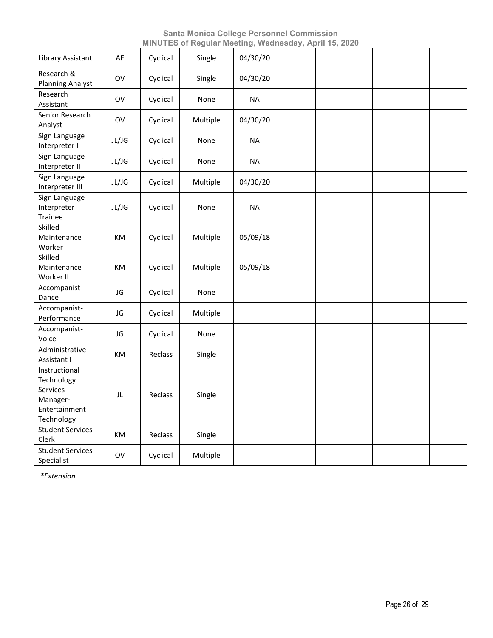| Library Assistant                                                                  | AF    | Cyclical | Single   | 04/30/20  |  |  |
|------------------------------------------------------------------------------------|-------|----------|----------|-----------|--|--|
| Research &<br><b>Planning Analyst</b>                                              | OV    | Cyclical | Single   | 04/30/20  |  |  |
| Research<br>Assistant                                                              | OV    | Cyclical | None     | <b>NA</b> |  |  |
| Senior Research<br>Analyst                                                         | OV    | Cyclical | Multiple | 04/30/20  |  |  |
| Sign Language<br>Interpreter I                                                     | JL/JG | Cyclical | None     | <b>NA</b> |  |  |
| Sign Language<br>Interpreter II                                                    | JL/JG | Cyclical | None     | <b>NA</b> |  |  |
| Sign Language<br>Interpreter III                                                   | JL/JG | Cyclical | Multiple | 04/30/20  |  |  |
| Sign Language<br>Interpreter<br>Trainee                                            | JL/JG | Cyclical | None     | <b>NA</b> |  |  |
| Skilled<br>Maintenance<br>Worker                                                   | KM    | Cyclical | Multiple | 05/09/18  |  |  |
| Skilled<br>Maintenance<br>Worker II                                                | КM    | Cyclical | Multiple | 05/09/18  |  |  |
| Accompanist-<br>Dance                                                              | JG    | Cyclical | None     |           |  |  |
| Accompanist-<br>Performance                                                        | JG    | Cyclical | Multiple |           |  |  |
| Accompanist-<br>Voice                                                              | JG    | Cyclical | None     |           |  |  |
| Administrative<br>Assistant I                                                      | KM    | Reclass  | Single   |           |  |  |
| Instructional<br>Technology<br>Services<br>Manager-<br>Entertainment<br>Technology | JL    | Reclass  | Single   |           |  |  |
| <b>Student Services</b><br>Clerk                                                   | KM    | Reclass  | Single   |           |  |  |
| <b>Student Services</b><br>Specialist                                              | OV    | Cyclical | Multiple |           |  |  |

*\*Extension*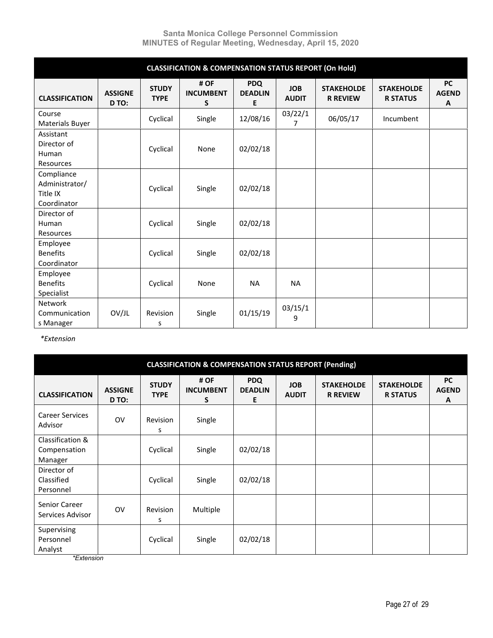|                                                         | <b>CLASSIFICATION &amp; COMPENSATION STATUS REPORT (On Hold)</b> |                             |                               |                                   |                            |                                      |                                      |                                |  |  |  |  |
|---------------------------------------------------------|------------------------------------------------------------------|-----------------------------|-------------------------------|-----------------------------------|----------------------------|--------------------------------------|--------------------------------------|--------------------------------|--|--|--|--|
| <b>CLASSIFICATION</b>                                   | <b>ASSIGNE</b><br>D TO:                                          | <b>STUDY</b><br><b>TYPE</b> | # OF<br><b>INCUMBENT</b><br>S | <b>PDQ</b><br><b>DEADLIN</b><br>E | <b>JOB</b><br><b>AUDIT</b> | <b>STAKEHOLDE</b><br><b>R REVIEW</b> | <b>STAKEHOLDE</b><br><b>R STATUS</b> | <b>PC</b><br><b>AGEND</b><br>A |  |  |  |  |
| Course<br>Materials Buyer                               |                                                                  | Cyclical                    | Single                        | 12/08/16                          | 03/22/1<br>$\overline{7}$  | 06/05/17                             | Incumbent                            |                                |  |  |  |  |
| Assistant<br>Director of<br>Human<br>Resources          |                                                                  | Cyclical                    | None                          | 02/02/18                          |                            |                                      |                                      |                                |  |  |  |  |
| Compliance<br>Administrator/<br>Title IX<br>Coordinator |                                                                  | Cyclical                    | Single                        | 02/02/18                          |                            |                                      |                                      |                                |  |  |  |  |
| Director of<br>Human<br>Resources                       |                                                                  | Cyclical                    | Single                        | 02/02/18                          |                            |                                      |                                      |                                |  |  |  |  |
| Employee<br><b>Benefits</b><br>Coordinator              |                                                                  | Cyclical                    | Single                        | 02/02/18                          |                            |                                      |                                      |                                |  |  |  |  |
| Employee<br><b>Benefits</b><br>Specialist               |                                                                  | Cyclical                    | None                          | <b>NA</b>                         | <b>NA</b>                  |                                      |                                      |                                |  |  |  |  |
| Network<br>Communication<br>s Manager                   | OV/JL                                                            | Revision<br>S               | Single                        | 01/15/19                          | 03/15/1<br>9               |                                      |                                      |                                |  |  |  |  |

*\*Extension* 

|                                             | <b>CLASSIFICATION &amp; COMPENSATION STATUS REPORT (Pending)</b> |                             |                               |                                   |                            |                                      |                                      |                                |  |  |  |  |  |
|---------------------------------------------|------------------------------------------------------------------|-----------------------------|-------------------------------|-----------------------------------|----------------------------|--------------------------------------|--------------------------------------|--------------------------------|--|--|--|--|--|
| <b>CLASSIFICATION</b>                       | <b>ASSIGNE</b><br>D TO:                                          | <b>STUDY</b><br><b>TYPE</b> | # OF<br><b>INCUMBENT</b><br>S | <b>PDQ</b><br><b>DEADLIN</b><br>E | <b>JOB</b><br><b>AUDIT</b> | <b>STAKEHOLDE</b><br><b>R REVIEW</b> | <b>STAKEHOLDE</b><br><b>R STATUS</b> | <b>PC</b><br><b>AGEND</b><br>A |  |  |  |  |  |
| <b>Career Services</b><br>Advisor           | <b>OV</b>                                                        | Revision<br>S               | Single                        |                                   |                            |                                      |                                      |                                |  |  |  |  |  |
| Classification &<br>Compensation<br>Manager |                                                                  | Cyclical                    | Single                        | 02/02/18                          |                            |                                      |                                      |                                |  |  |  |  |  |
| Director of<br>Classified<br>Personnel      |                                                                  | Cyclical                    | Single                        | 02/02/18                          |                            |                                      |                                      |                                |  |  |  |  |  |
| Senior Career<br>Services Advisor           | <b>OV</b>                                                        | Revision<br>s               | Multiple                      |                                   |                            |                                      |                                      |                                |  |  |  |  |  |
| Supervising<br>Personnel<br>Analyst         |                                                                  | Cyclical                    | Single                        | 02/02/18                          |                            |                                      |                                      |                                |  |  |  |  |  |

*\*Extension*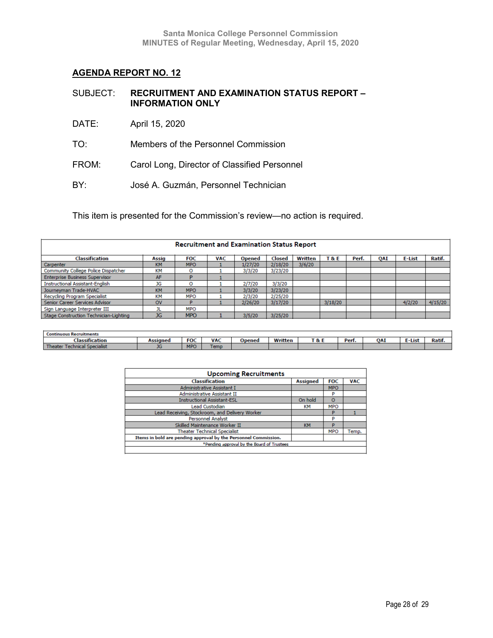| SUBJECT: | <b>RECRUITMENT AND EXAMINATION STATUS REPORT -</b> |
|----------|----------------------------------------------------|
|          | <b>INFORMATION ONLY</b>                            |

- DATE: April 15, 2020
- TO: Members of the Personnel Commission
- FROM: Carol Long, Director of Classified Personnel
- BY: José A. Guzmán, Personnel Technician

This item is presented for the Commission's review—no action is required.

| <b>Recruitment and Examination Status Report</b> |              |            |            |               |         |         |         |       |            |        |         |
|--------------------------------------------------|--------------|------------|------------|---------------|---------|---------|---------|-------|------------|--------|---------|
| Classification                                   | <b>Assig</b> | <b>FOC</b> | <b>VAC</b> | <b>Opened</b> | Closed  | Written | T&E     | Perf. | <b>OAI</b> | E-List | Ratif.  |
| Carpenter                                        | <b>KM</b>    | <b>MPO</b> |            | 1/27/20       | 2/18/20 | 3/6/20  |         |       |            |        |         |
| Community College Police Dispatcher              | KM           | o          |            | 3/3/20        | 3/23/20 |         |         |       |            |        |         |
| <b>Enterprise Business Supervisor</b>            | AF           |            |            |               |         |         |         |       |            |        |         |
| <b>Instructional Assistant-English</b>           | JG           |            |            | 2/7/20        | 3/3/20  |         |         |       |            |        |         |
| Journeyman Trade-HVAC                            | <b>KM</b>    | <b>MPO</b> |            | 3/3/20        | 3/23/20 |         |         |       |            |        |         |
| Recycling Program Specialist                     | KM           | <b>MPO</b> |            | 2/3/20        | 2/25/20 |         |         |       |            |        |         |
| Senior Career Services Advisor                   | <b>OV</b>    | D          |            | 2/26/20       | 3/17/20 |         | 3/18/20 |       |            | 4/2/20 | 4/15/20 |
| Sign Language Interpreter III                    |              | <b>MPO</b> |            |               |         |         |         |       |            |        |         |
| Stage Construction Technician-Lighting           | <b>JG</b>    | <b>MPO</b> |            | 3/5/20        | 3/25/20 |         |         |       |            |        |         |

| erunments: |                    |            |                 |             |                            |            |     |      |               |
|------------|--------------------|------------|-----------------|-------------|----------------------------|------------|-----|------|---------------|
| ition      |                    | <b>FOC</b> | VA <sub>(</sub> | <b>SHAN</b> | <br><br>г о.<br>$\alpha$ . | Do<br>теп. | 0A) | -Lis | $\sim$<br>каш |
|            | <b>START</b><br>טע | <b>MPC</b> | сши             |             |                            |            |     |      |               |

| <b>Upcoming Recruitments</b>                                    |                 |            |            |
|-----------------------------------------------------------------|-----------------|------------|------------|
| <b>Classification</b>                                           | <b>Assigned</b> | <b>FOC</b> | <b>VAC</b> |
| Administrative Assistant I                                      |                 | <b>MPO</b> |            |
| <b>Administrative Assistant II</b>                              |                 | P          |            |
| <b>Instructional Assistant-ESL</b>                              | On hold         | $\circ$    |            |
| <b>Lead Custodian</b>                                           | KМ              | <b>MPO</b> |            |
| Lead Receiving, Stockroom, and Delivery Worker                  |                 | P          |            |
| <b>Personnel Analyst</b>                                        |                 | P          |            |
| Skilled Maintenance Worker II                                   | <b>KM</b>       | P          |            |
| <b>Theater Technical Specialist</b>                             |                 | <b>MPO</b> | Temp.      |
| Items in bold are pending approval by the Personnel Commission. |                 |            |            |
| *Pending approval by the Board of Trustees                      |                 |            |            |
|                                                                 |                 |            |            |